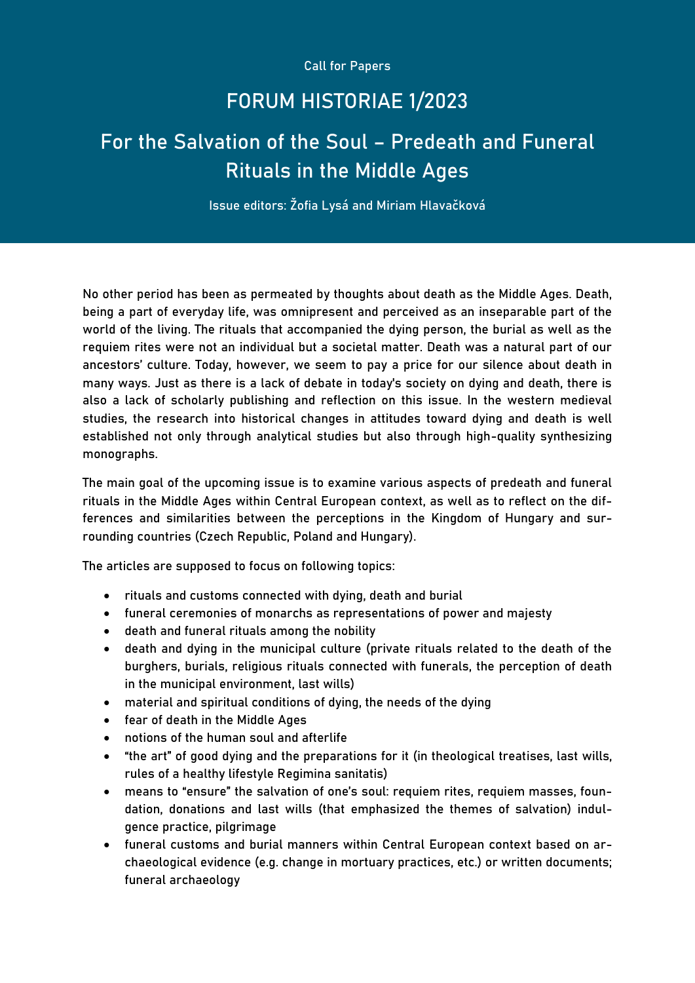Call for Papers

## FORUM HISTORIAE 1/2023

## For the Salvation of the Soul – Predeath and Funeral Rituals in the Middle Ages

Issue editors: Žofia Lysá and Miriam Hlavačková

No other period has been as permeated by thoughts about death as the Middle Ages. Death, being a part of everyday life, was omnipresent and perceived as an inseparable part of the world of the living. The rituals that accompanied the dying person, the burial as well as the requiem rites were not an individual but a societal matter. Death was a natural part of our ancestors' culture. Today, however, we seem to pay a price for our silence about death in many ways. Just as there is a lack of debate in today's society on dying and death, there is also a lack of scholarly publishing and reflection on this issue. In the western medieval studies, the research into historical changes in attitudes toward dying and death is well established not only through analytical studies but also through high-quality synthesizing monographs.

The main goal of the upcoming issue is to examine various aspects of predeath and funeral rituals in the Middle Ages within Central European context, as well as to reflect on the differences and similarities between the perceptions in the Kingdom of Hungary and surrounding countries (Czech Republic, Poland and Hungary).

The articles are supposed to focus on following topics:

- rituals and customs connected with dying, death and burial
- funeral ceremonies of monarchs as representations of power and majesty
- death and funeral rituals among the nobility
- death and dying in the municipal culture (private rituals related to the death of the burghers, burials, religious rituals connected with funerals, the perception of death in the municipal environment, last wills)
- material and spiritual conditions of dying, the needs of the dying
- fear of death in the Middle Ages
- notions of the human soul and afterlife
- "the art" of good dying and the preparations for it (in theological treatises, last wills, rules of a healthy lifestyle Regimina sanitatis)
- means to "ensure" the salvation of one's soul: requiem rites, requiem masses, foundation, donations and last wills (that emphasized the themes of salvation) indulgence practice, pilgrimage
- funeral customs and burial manners within Central European context based on archaeological evidence (e.g. change in mortuary practices, etc.) or written documents; funeral archaeology